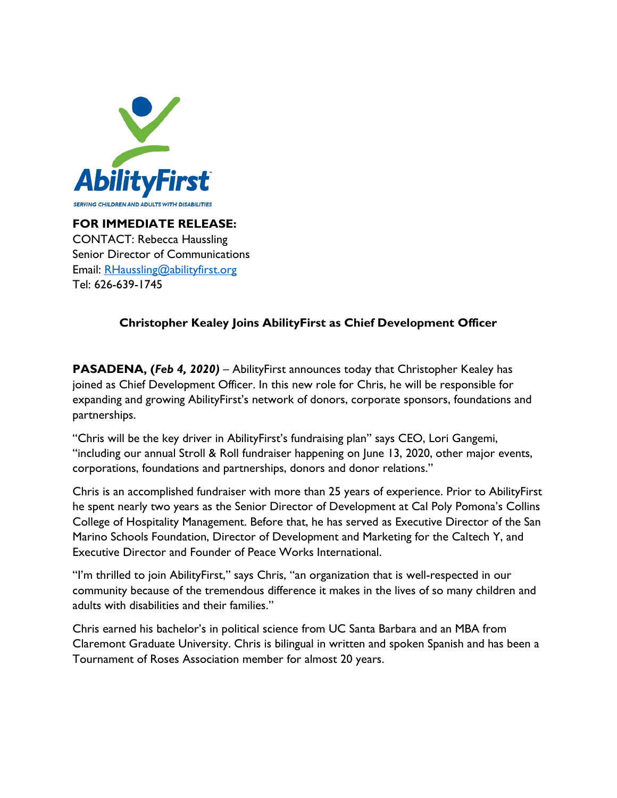

**FOR IMMEDIATE RELEASE:** CONTACT: Rebecca Haussling Senior Director of Communications Email: [RHaussling@abilityfirst.org](mailto:RHaussling@abilityfirst.org) Tel: 626-639-1745

## **Christopher Kealey Joins AbilityFirst as Chief Development Officer**

**PASADENA, (***Feb 4, 2020)* – AbilityFirst announces today that Christopher Kealey has joined as Chief Development Officer. In this new role for Chris, he will be responsible for expanding and growing AbilityFirst's network of donors, corporate sponsors, foundations and partnerships.

"Chris will be the key driver in AbilityFirst's fundraising plan" says CEO, Lori Gangemi, "including our annual Stroll & Roll fundraiser happening on June 13, 2020, other major events, corporations, foundations and partnerships, donors and donor relations."

Chris is an accomplished fundraiser with more than 25 years of experience. Prior to AbilityFirst he spent nearly two years as the Senior Director of Development at Cal Poly Pomona's Collins College of Hospitality Management. Before that, he has served as Executive Director of the San Marino Schools Foundation, Director of Development and Marketing for the Caltech Y, and Executive Director and Founder of Peace Works International.

"I'm thrilled to join AbilityFirst," says Chris, "an organization that is well-respected in our community because of the tremendous difference it makes in the lives of so many children and adults with disabilities and their families."

Chris earned his bachelor's in political science from UC Santa Barbara and an MBA from Claremont Graduate University. Chris is bilingual in written and spoken Spanish and has been a Tournament of Roses Association member for almost 20 years.